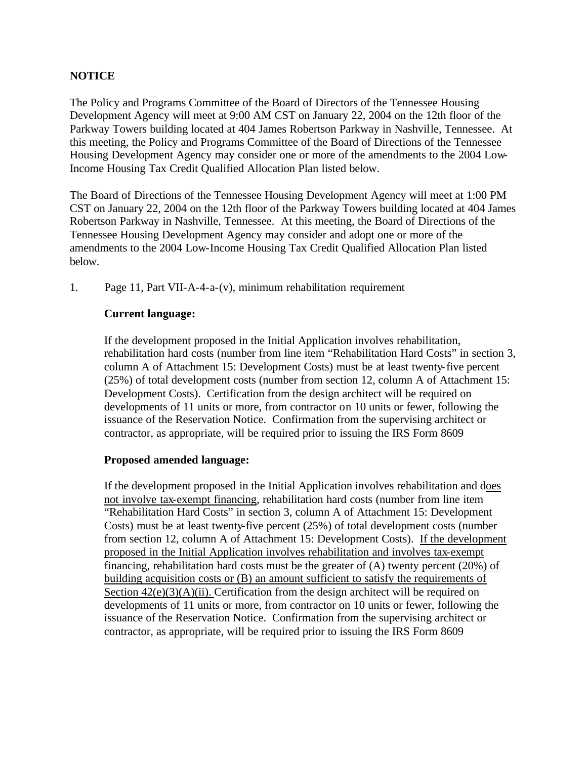## **NOTICE**

The Policy and Programs Committee of the Board of Directors of the Tennessee Housing Development Agency will meet at 9:00 AM CST on January 22, 2004 on the 12th floor of the Parkway Towers building located at 404 James Robertson Parkway in Nashville, Tennessee. At this meeting, the Policy and Programs Committee of the Board of Directions of the Tennessee Housing Development Agency may consider one or more of the amendments to the 2004 Low-Income Housing Tax Credit Qualified Allocation Plan listed below.

The Board of Directions of the Tennessee Housing Development Agency will meet at 1:00 PM CST on January 22, 2004 on the 12th floor of the Parkway Towers building located at 404 James Robertson Parkway in Nashville, Tennessee. At this meeting, the Board of Directions of the Tennessee Housing Development Agency may consider and adopt one or more of the amendments to the 2004 Low-Income Housing Tax Credit Qualified Allocation Plan listed below.

1. Page 11, Part VII-A-4-a-(v), minimum rehabilitation requirement

### **Current language:**

If the development proposed in the Initial Application involves rehabilitation, rehabilitation hard costs (number from line item "Rehabilitation Hard Costs" in section 3, column A of Attachment 15: Development Costs) must be at least twenty-five percent (25%) of total development costs (number from section 12, column A of Attachment 15: Development Costs). Certification from the design architect will be required on developments of 11 units or more, from contractor on 10 units or fewer, following the issuance of the Reservation Notice. Confirmation from the supervising architect or contractor, as appropriate, will be required prior to issuing the IRS Form 8609

#### **Proposed amended language:**

If the development proposed in the Initial Application involves rehabilitation and does not involve tax-exempt financing, rehabilitation hard costs (number from line item "Rehabilitation Hard Costs" in section 3, column A of Attachment 15: Development Costs) must be at least twenty-five percent (25%) of total development costs (number from section 12, column A of Attachment 15: Development Costs). If the development proposed in the Initial Application involves rehabilitation and involves tax-exempt financing, rehabilitation hard costs must be the greater of (A) twenty percent (20%) of building acquisition costs or (B) an amount sufficient to satisfy the requirements of Section  $42(e)(3)(A)(ii)$ . Certification from the design architect will be required on developments of 11 units or more, from contractor on 10 units or fewer, following the issuance of the Reservation Notice. Confirmation from the supervising architect or contractor, as appropriate, will be required prior to issuing the IRS Form 8609